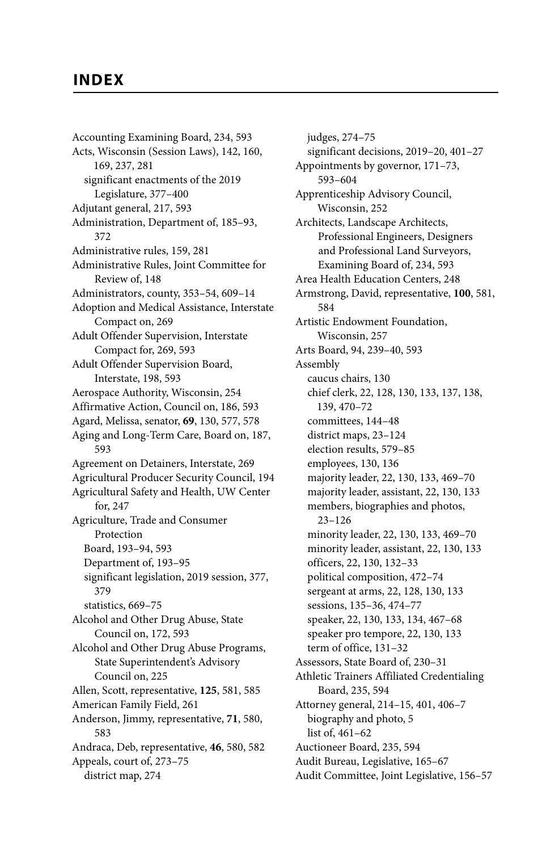## **INDEX**

Accounting Examining Board, 234, 593 Acts, Wisconsin (Session Laws), 142, 160, 169, 237, 281 significant enactments of the 2019 Legislature, 377–400 Adjutant general, 217, 593 Administration, Department of, 185–93, 372 Administrative rules, 159, 281 Administrative Rules, Joint Committee for Review of, 148 Administrators, county, 353–54, 609–14 Adoption and Medical Assistance, Interstate Compact on, 269 Adult Offender Supervision, Interstate Compact for, 269, 593 Adult Offender Supervision Board, Interstate, 198, 593 Aerospace Authority, Wisconsin, 254 Affirmative Action, Council on, 186, 593 Agard, Melissa, senator, **69**, 130, 577, 578 Aging and Long-Term Care, Board on, 187, 593 Agreement on Detainers, Interstate, 269 Agricultural Producer Security Council, 194 Agricultural Safety and Health, UW Center for, 247 Agriculture, Trade and Consumer Protection Board, 193–94, 593 Department of, 193–95 significant legislation, 2019 session, 377, 379 statistics, 669–75 Alcohol and Other Drug Abuse, State Council on, 172, 593 Alcohol and Other Drug Abuse Programs, State Superintendent's Advisory Council on, 225 Allen, Scott, representative, **125**, 581, 585 American Family Field, 261 Anderson, Jimmy, representative, **71**, 580, 583 Andraca, Deb, representative, **46**, 580, 582 Appeals, court of, 273–75 district map, 274

judges, 274–75 significant decisions, 2019–20, 401–27 Appointments by governor, 171–73, 593–604 Apprenticeship Advisory Council, Wisconsin, 252 Architects, Landscape Architects, Professional Engineers, Designers and Professional Land Surveyors, Examining Board of, 234, 593 Area Health Education Centers, 248 Armstrong, David, representative, **100**, 581, 584 Artistic Endowment Foundation, Wisconsin, 257 Arts Board, 94, 239–40, 593 Assembly caucus chairs, 130 chief clerk, 22, 128, 130, 133, 137, 138, 139, 470–72 committees, 144–48 district maps, 23–124 election results, 579–85 employees, 130, 136 majority leader, 22, 130, 133, 469–70 majority leader, assistant, 22, 130, 133 members, biographies and photos, 23–126 minority leader, 22, 130, 133, 469–70 minority leader, assistant, 22, 130, 133 officers, 22, 130, 132–33 political composition, 472–74 sergeant at arms, 22, 128, 130, 133 sessions, 135–36, 474–77 speaker, 22, 130, 133, 134, 467–68 speaker pro tempore, 22, 130, 133 term of office, 131–32 Assessors, State Board of, 230–31 Athletic Trainers Affiliated Credentialing Board, 235, 594 Attorney general, 214–15, 401, 406–7 biography and photo, 5 list of, 461–62 Auctioneer Board, 235, 594 Audit Bureau, Legislative, 165–67 Audit Committee, Joint Legislative, 156–57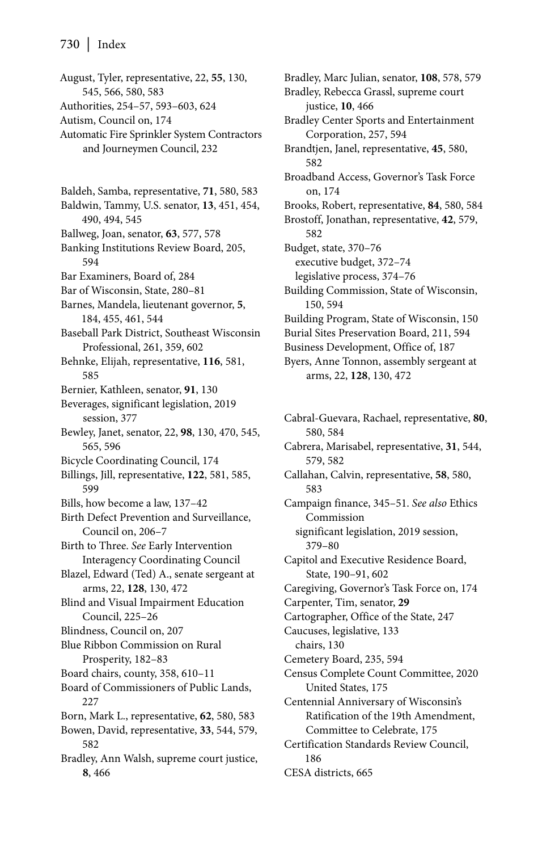August, Tyler, representative, 22, **55**, 130, 545, 566, 580, 583 Authorities, 254–57, 593–603, 624 Autism, Council on, 174 Automatic Fire Sprinkler System Contractors and Journeymen Council, 232 Baldeh, Samba, representative, **71**, 580, 583 Baldwin, Tammy, U.S. senator, **13**, 451, 454, 490, 494, 545 Ballweg, Joan, senator, **63**, 577, 578 Banking Institutions Review Board, 205, 594 Bar Examiners, Board of, 284 Bar of Wisconsin, State, 280–81 Barnes, Mandela, lieutenant governor, **5**, 184, 455, 461, 544 Baseball Park District, Southeast Wisconsin Professional, 261, 359, 602 Behnke, Elijah, representative, **116**, 581, 585 Bernier, Kathleen, senator, **91**, 130 Beverages, significant legislation, 2019 session, 377 Bewley, Janet, senator, 22, **98**, 130, 470, 545, 565, 596 Bicycle Coordinating Council, 174 Billings, Jill, representative, **122**, 581, 585, 599 Bills, how become a law, 137–42 Birth Defect Prevention and Surveillance, Council on, 206–7 Birth to Three. *See* Early Intervention Interagency Coordinating Council Blazel, Edward (Ted) A., senate sergeant at arms, 22, **128**, 130, 472 Blind and Visual Impairment Education Council, 225–26 Blindness, Council on, 207 Blue Ribbon Commission on Rural Prosperity, 182–83 Board chairs, county, 358, 610–11 Board of Commissioners of Public Lands, 227 Born, Mark L., representative, **62**, 580, 583 Bowen, David, representative, **33**, 544, 579, 582 Bradley, Ann Walsh, supreme court justice, **8**, 466

Bradley, Marc Julian, senator, **108**, 578, 579 Bradley, Rebecca Grassl, supreme court justice, **10**, 466 Bradley Center Sports and Entertainment Corporation, 257, 594 Brandtjen, Janel, representative, **45**, 580, 582 Broadband Access, Governor's Task Force on, 174 Brooks, Robert, representative, **84**, 580, 584 Brostoff, Jonathan, representative, **42**, 579, 582 Budget, state, 370–76 executive budget, 372–74 legislative process, 374–76 Building Commission, State of Wisconsin, 150, 594 Building Program, State of Wisconsin, 150 Burial Sites Preservation Board, 211, 594 Business Development, Office of, 187

Byers, Anne Tonnon, assembly sergeant at arms, 22, **128**, 130, 472

Cabral-Guevara, Rachael, representative, **80**, 580, 584 Cabrera, Marisabel, representative, **31**, 544, 579, 582 Callahan, Calvin, representative, **58**, 580, 583 Campaign finance, 345–51. *See also* Ethics Commission significant legislation, 2019 session, 379–80 Capitol and Executive Residence Board, State, 190–91, 602 Caregiving, Governor's Task Force on, 174 Carpenter, Tim, senator, **29** Cartographer, Office of the State, 247 Caucuses, legislative, 133 chairs, 130 Cemetery Board, 235, 594 Census Complete Count Committee, 2020 United States, 175 Centennial Anniversary of Wisconsin's Ratification of the 19th Amendment, Committee to Celebrate, 175 Certification Standards Review Council, 186 CESA districts, 665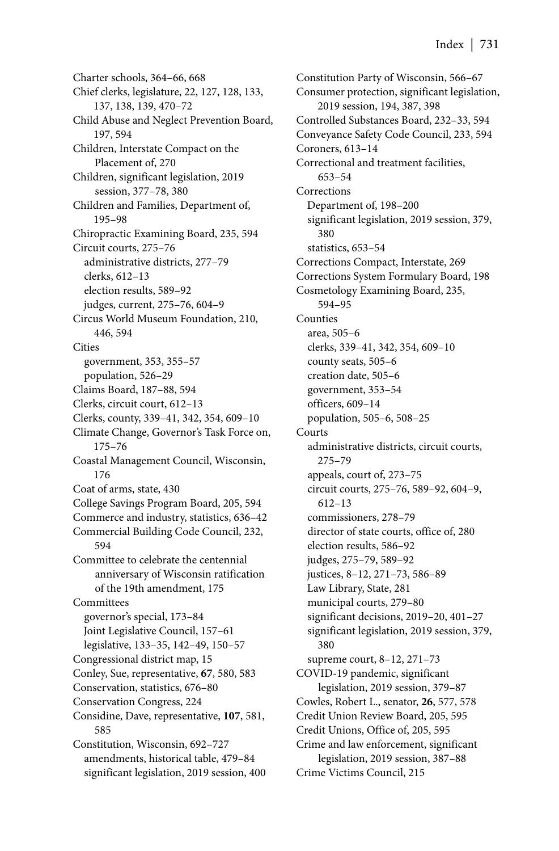Charter schools, 364–66, 668 Chief clerks, legislature, 22, 127, 128, 133, 137, 138, 139, 470–72 Child Abuse and Neglect Prevention Board, 197, 594 Children, Interstate Compact on the Placement of, 270 Children, significant legislation, 2019 session, 377–78, 380 Children and Families, Department of, 195–98 Chiropractic Examining Board, 235, 594 Circuit courts, 275–76 administrative districts, 277–79 clerks, 612–13 election results, 589–92 judges, current, 275–76, 604–9 Circus World Museum Foundation, 210, 446, 594 **Cities** government, 353, 355–57 population, 526–29 Claims Board, 187–88, 594 Clerks, circuit court, 612–13 Clerks, county, 339–41, 342, 354, 609–10 Climate Change, Governor's Task Force on, 175–76 Coastal Management Council, Wisconsin, 176 Coat of arms, state, 430 College Savings Program Board, 205, 594 Commerce and industry, statistics, 636–42 Commercial Building Code Council, 232, 594 Committee to celebrate the centennial anniversary of Wisconsin ratification of the 19th amendment, 175 Committees governor's special, 173–84 Joint Legislative Council, 157–61 legislative, 133–35, 142–49, 150–57 Congressional district map, 15 Conley, Sue, representative, **67**, 580, 583 Conservation, statistics, 676–80 Conservation Congress, 224 Considine, Dave, representative, **107**, 581, 585 Constitution, Wisconsin, 692–727 amendments, historical table, 479–84 significant legislation, 2019 session, 400

Constitution Party of Wisconsin, 566–67 Consumer protection, significant legislation, 2019 session, 194, 387, 398 Controlled Substances Board, 232–33, 594 Conveyance Safety Code Council, 233, 594 Coroners, 613–14 Correctional and treatment facilities, 653–54 Corrections Department of, 198–200 significant legislation, 2019 session, 379, 380 statistics, 653–54 Corrections Compact, Interstate, 269 Corrections System Formulary Board, 198 Cosmetology Examining Board, 235, 594–95 Counties area, 505–6 clerks, 339–41, 342, 354, 609–10 county seats, 505–6 creation date, 505–6 government, 353–54 officers, 609–14 population, 505–6, 508–25 Courts administrative districts, circuit courts, 275–79 appeals, court of, 273–75 circuit courts, 275–76, 589–92, 604–9, 612–13 commissioners, 278–79 director of state courts, office of, 280 election results, 586–92 judges, 275–79, 589–92 justices, 8–12, 271–73, 586–89 Law Library, State, 281 municipal courts, 279–80 significant decisions, 2019–20, 401–27 significant legislation, 2019 session, 379, 380 supreme court, 8–12, 271–73 COVID-19 pandemic, significant legislation, 2019 session, 379–87 Cowles, Robert L., senator, **26**, 577, 578 Credit Union Review Board, 205, 595 Credit Unions, Office of, 205, 595 Crime and law enforcement, significant legislation, 2019 session, 387–88 Crime Victims Council, 215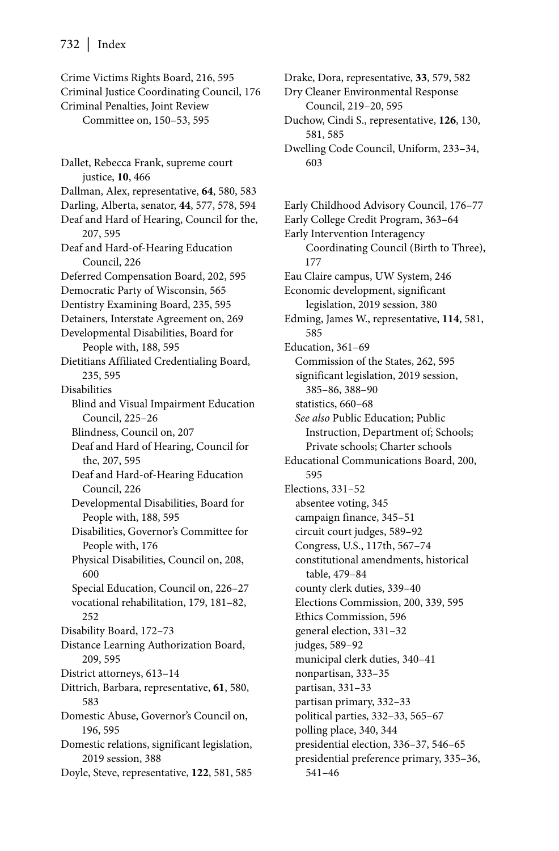Crime Victims Rights Board, 216, 595 Criminal Justice Coordinating Council, 176 Criminal Penalties, Joint Review Committee on, 150–53, 595

Dallet, Rebecca Frank, supreme court justice, **10**, 466 Dallman, Alex, representative, **64**, 580, 583 Darling, Alberta, senator, **44**, 577, 578, 594 Deaf and Hard of Hearing, Council for the, 207, 595 Deaf and Hard-of-Hearing Education Council, 226 Deferred Compensation Board, 202, 595 Democratic Party of Wisconsin, 565 Dentistry Examining Board, 235, 595 Detainers, Interstate Agreement on, 269 Developmental Disabilities, Board for People with, 188, 595 Dietitians Affiliated Credentialing Board, 235, 595 Disabilities Blind and Visual Impairment Education Council, 225–26 Blindness, Council on, 207 Deaf and Hard of Hearing, Council for the, 207, 595 Deaf and Hard-of-Hearing Education Council, 226 Developmental Disabilities, Board for People with, 188, 595 Disabilities, Governor's Committee for People with, 176 Physical Disabilities, Council on, 208, 600 Special Education, Council on, 226–27 vocational rehabilitation, 179, 181–82, 252 Disability Board, 172–73 Distance Learning Authorization Board, 209, 595 District attorneys, 613–14 Dittrich, Barbara, representative, **61**, 580, 583 Domestic Abuse, Governor's Council on, 196, 595 Domestic relations, significant legislation, 2019 session, 388 Doyle, Steve, representative, **122**, 581, 585

Drake, Dora, representative, **33**, 579, 582

Dry Cleaner Environmental Response Council, 219–20, 595

Duchow, Cindi S., representative, **126**, 130, 581, 585

Dwelling Code Council, Uniform, 233–34, 603

Early Childhood Advisory Council, 176–77 Early College Credit Program, 363–64 Early Intervention Interagency Coordinating Council (Birth to Three), 177 Eau Claire campus, UW System, 246 Economic development, significant legislation, 2019 session, 380 Edming, James W., representative, **114**, 581, 585 Education, 361–69 Commission of the States, 262, 595 significant legislation, 2019 session, 385–86, 388–90 statistics, 660–68 *See also* Public Education; Public Instruction, Department of; Schools; Private schools; Charter schools Educational Communications Board, 200, 595 Elections, 331–52 absentee voting, 345 campaign finance, 345–51 circuit court judges, 589–92 Congress, U.S., 117th, 567–74 constitutional amendments, historical table, 479–84 county clerk duties, 339–40 Elections Commission, 200, 339, 595 Ethics Commission, 596 general election, 331–32 judges, 589–92 municipal clerk duties, 340–41 nonpartisan, 333–35 partisan, 331–33 partisan primary, 332–33 political parties, 332–33, 565–67 polling place, 340, 344 presidential election, 336–37, 546–65 presidential preference primary, 335–36, 541–46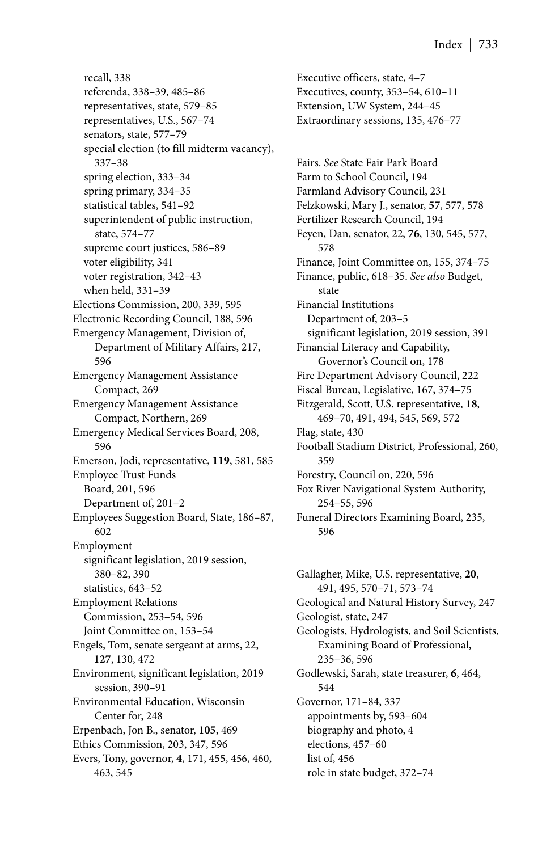recall, 338 referenda, 338–39, 485–86 representatives, state, 579–85 representatives, U.S., 567–74 senators, state, 577–79 special election (to fill midterm vacancy), 337–38 spring election, 333–34 spring primary, 334–35 statistical tables, 541–92 superintendent of public instruction, state, 574–77 supreme court justices, 586–89 voter eligibility, 341 voter registration, 342–43 when held, 331–39 Elections Commission, 200, 339, 595 Electronic Recording Council, 188, 596 Emergency Management, Division of, Department of Military Affairs, 217, 596 Emergency Management Assistance Compact, 269 Emergency Management Assistance Compact, Northern, 269 Emergency Medical Services Board, 208, 596 Emerson, Jodi, representative, **119**, 581, 585 Employee Trust Funds Board, 201, 596 Department of, 201–2 Employees Suggestion Board, State, 186–87, 602 Employment significant legislation, 2019 session, 380–82, 390 statistics, 643–52 Employment Relations Commission, 253–54, 596 Joint Committee on, 153–54 Engels, Tom, senate sergeant at arms, 22, **127**, 130, 472 Environment, significant legislation, 2019 session, 390–91 Environmental Education, Wisconsin Center for, 248 Erpenbach, Jon B., senator, **105**, 469 Ethics Commission, 203, 347, 596 Evers, Tony, governor, **4**, 171, 455, 456, 460, 463, 545

Executive officers, state, 4–7 Executives, county, 353–54, 610–11 Extension, UW System, 244–45 Extraordinary sessions, 135, 476–77

Fairs. *See* State Fair Park Board Farm to School Council, 194 Farmland Advisory Council, 231 Felzkowski, Mary J., senator, **57**, 577, 578 Fertilizer Research Council, 194 Feyen, Dan, senator, 22, **76**, 130, 545, 577, 578 Finance, Joint Committee on, 155, 374–75 Finance, public, 618–35. *See also* Budget, state Financial Institutions Department of, 203–5 significant legislation, 2019 session, 391 Financial Literacy and Capability, Governor's Council on, 178 Fire Department Advisory Council, 222 Fiscal Bureau, Legislative, 167, 374–75 Fitzgerald, Scott, U.S. representative, **18**, 469–70, 491, 494, 545, 569, 572 Flag, state, 430 Football Stadium District, Professional, 260, 359 Forestry, Council on, 220, 596 Fox River Navigational System Authority, 254–55, 596 Funeral Directors Examining Board, 235, 596

Gallagher, Mike, U.S. representative, **20**, 491, 495, 570–71, 573–74 Geological and Natural History Survey, 247 Geologist, state, 247 Geologists, Hydrologists, and Soil Scientists, Examining Board of Professional, 235–36, 596 Godlewski, Sarah, state treasurer, **6**, 464, 544 Governor, 171–84, 337 appointments by, 593–604 biography and photo, 4 elections, 457–60 list of, 456 role in state budget, 372–74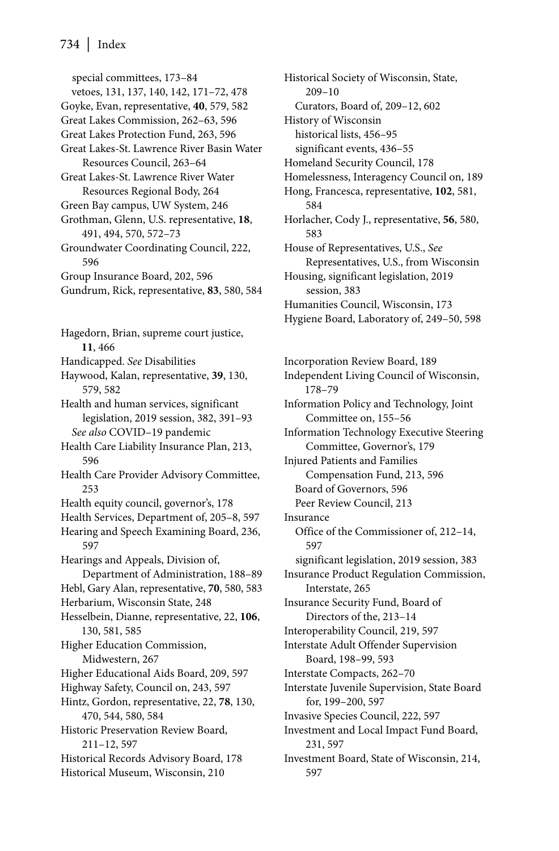special committees, 173–84 vetoes, 131, 137, 140, 142, 171–72, 478 Goyke, Evan, representative, **40**, 579, 582 Great Lakes Commission, 262–63, 596 Great Lakes Protection Fund, 263, 596 Great Lakes-St. Lawrence River Basin Water Resources Council, 263–64 Great Lakes-St. Lawrence River Water Resources Regional Body, 264 Green Bay campus, UW System, 246

Grothman, Glenn, U.S. representative, **18**, 491, 494, 570, 572–73

Groundwater Coordinating Council, 222, 596

- Group Insurance Board, 202, 596
- Gundrum, Rick, representative, **83**, 580, 584

Hagedorn, Brian, supreme court justice, **11**, 466 Handicapped. *See* Disabilities Haywood, Kalan, representative, **39**, 130, 579, 582 Health and human services, significant legislation, 2019 session, 382, 391–93 *See also* COVID–19 pandemic Health Care Liability Insurance Plan, 213, 596 Health Care Provider Advisory Committee, 253 Health equity council, governor's, 178 Health Services, Department of, 205–8, 597 Hearing and Speech Examining Board, 236, 597 Hearings and Appeals, Division of, Department of Administration, 188–89 Hebl, Gary Alan, representative, **70**, 580, 583 Herbarium, Wisconsin State, 248 Hesselbein, Dianne, representative, 22, **106**, 130, 581, 585 Higher Education Commission, Midwestern, 267 Higher Educational Aids Board, 209, 597 Highway Safety, Council on, 243, 597 Hintz, Gordon, representative, 22, **78**, 130, 470, 544, 580, 584 Historic Preservation Review Board, 211–12, 597 Historical Records Advisory Board, 178 Historical Museum, Wisconsin, 210

Historical Society of Wisconsin, State, 209–10 Curators, Board of, 209–12, 602 History of Wisconsin historical lists, 456–95 significant events, 436–55 Homeland Security Council, 178 Homelessness, Interagency Council on, 189 Hong, Francesca, representative, **102**, 581, 584 Horlacher, Cody J., representative, **56**, 580, 583 House of Representatives, U.S., *See* Representatives, U.S., from Wisconsin Housing, significant legislation, 2019 session, 383 Humanities Council, Wisconsin, 173 Hygiene Board, Laboratory of, 249–50, 598

Incorporation Review Board, 189 Independent Living Council of Wisconsin, 178–79 Information Policy and Technology, Joint Committee on, 155–56 Information Technology Executive Steering Committee, Governor's, 179 Injured Patients and Families Compensation Fund, 213, 596 Board of Governors, 596 Peer Review Council, 213 Insurance Office of the Commissioner of, 212–14, 597 significant legislation, 2019 session, 383 Insurance Product Regulation Commission, Interstate, 265 Insurance Security Fund, Board of Directors of the, 213–14 Interoperability Council, 219, 597 Interstate Adult Offender Supervision Board, 198–99, 593 Interstate Compacts, 262–70 Interstate Juvenile Supervision, State Board for, 199–200, 597 Invasive Species Council, 222, 597 Investment and Local Impact Fund Board, 231, 597 Investment Board, State of Wisconsin, 214, 597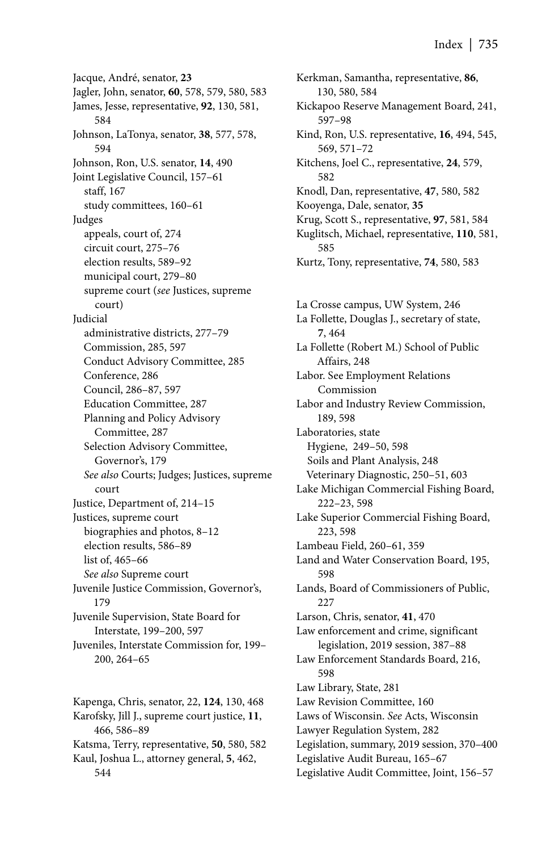Jacque, André, senator, **23** Jagler, John, senator, **60**, 578, 579, 580, 583 James, Jesse, representative, **92**, 130, 581, 584 Johnson, LaTonya, senator, **38**, 577, 578, 594 Johnson, Ron, U.S. senator, **14**, 490 Joint Legislative Council, 157–61 staff, 167 study committees, 160–61 Judges appeals, court of, 274 circuit court, 275–76 election results, 589–92 municipal court, 279–80 supreme court (*see* Justices, supreme court) Judicial administrative districts, 277–79 Commission, 285, 597 Conduct Advisory Committee, 285 Conference, 286 Council, 286–87, 597 Education Committee, 287 Planning and Policy Advisory Committee, 287 Selection Advisory Committee, Governor's, 179 *See also* Courts; Judges; Justices, supreme court Justice, Department of, 214–15 Justices, supreme court biographies and photos, 8–12 election results, 586–89 list of, 465–66 *See also* Supreme court Juvenile Justice Commission, Governor's, 179 Juvenile Supervision, State Board for Interstate, 199–200, 597 Juveniles, Interstate Commission for, 199– 200, 264–65

Kapenga, Chris, senator, 22, **124**, 130, 468 Karofsky, Jill J., supreme court justice, **11**, 466, 586–89 Katsma, Terry, representative, **50**, 580, 582 Kaul, Joshua L., attorney general, **5**, 462, 544

Kerkman, Samantha, representative, **86**, 130, 580, 584 Kickapoo Reserve Management Board, 241, 597–98 Kind, Ron, U.S. representative, **16**, 494, 545, 569, 571–72 Kitchens, Joel C., representative, **24**, 579, 582 Knodl, Dan, representative, **47**, 580, 582 Kooyenga, Dale, senator, **35** Krug, Scott S., representative, **97**, 581, 584 Kuglitsch, Michael, representative, **110**, 581, 585

Kurtz, Tony, representative, **74**, 580, 583

La Crosse campus, UW System, 246 La Follette, Douglas J., secretary of state, **7**, 464 La Follette (Robert M.) School of Public Affairs, 248 Labor. See Employment Relations Commission Labor and Industry Review Commission, 189, 598 Laboratories, state Hygiene, 249–50, 598 Soils and Plant Analysis, 248 Veterinary Diagnostic, 250–51, 603 Lake Michigan Commercial Fishing Board, 222–23, 598 Lake Superior Commercial Fishing Board, 223, 598 Lambeau Field, 260–61, 359 Land and Water Conservation Board, 195, 598 Lands, Board of Commissioners of Public, 227 Larson, Chris, senator, **41**, 470 Law enforcement and crime, significant legislation, 2019 session, 387–88 Law Enforcement Standards Board, 216, 598 Law Library, State, 281 Law Revision Committee, 160 Laws of Wisconsin. *See* Acts, Wisconsin Lawyer Regulation System, 282 Legislation, summary, 2019 session, 370–400 Legislative Audit Bureau, 165–67 Legislative Audit Committee, Joint, 156–57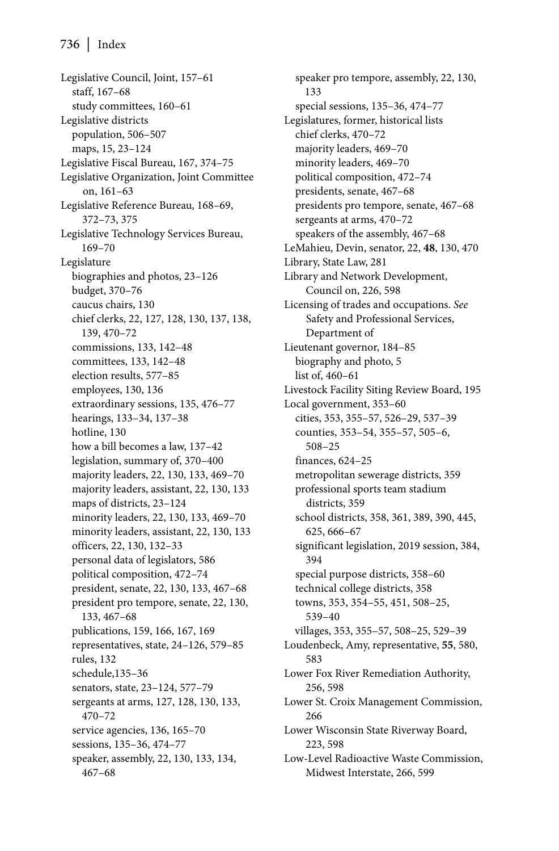Legislative Council, Joint, 157–61 staff, 167–68 study committees, 160–61 Legislative districts population, 506–507 maps, 15, 23–124 Legislative Fiscal Bureau, 167, 374–75 Legislative Organization, Joint Committee on, 161–63 Legislative Reference Bureau, 168–69, 372–73, 375 Legislative Technology Services Bureau, 169–70 Legislature biographies and photos, 23–126 budget, 370–76 caucus chairs, 130 chief clerks, 22, 127, 128, 130, 137, 138, 139, 470–72 commissions, 133, 142–48 committees, 133, 142–48 election results, 577–85 employees, 130, 136 extraordinary sessions, 135, 476–77 hearings, 133–34, 137–38 hotline, 130 how a bill becomes a law, 137–42 legislation, summary of, 370–400 majority leaders, 22, 130, 133, 469–70 majority leaders, assistant, 22, 130, 133 maps of districts, 23–124 minority leaders, 22, 130, 133, 469–70 minority leaders, assistant, 22, 130, 133 officers, 22, 130, 132–33 personal data of legislators, 586 political composition, 472–74 president, senate, 22, 130, 133, 467–68 president pro tempore, senate, 22, 130, 133, 467–68 publications, 159, 166, 167, 169 representatives, state, 24–126, 579–85 rules, 132 schedule,135–36 senators, state, 23–124, 577–79 sergeants at arms, 127, 128, 130, 133, 470–72 service agencies, 136, 165–70 sessions, 135–36, 474–77 speaker, assembly, 22, 130, 133, 134, 467–68

speaker pro tempore, assembly, 22, 130, 133 special sessions, 135–36, 474–77 Legislatures, former, historical lists chief clerks, 470–72 majority leaders, 469–70 minority leaders, 469–70 political composition, 472–74 presidents, senate, 467–68 presidents pro tempore, senate, 467–68 sergeants at arms, 470–72 speakers of the assembly, 467–68 LeMahieu, Devin, senator, 22, **48**, 130, 470 Library, State Law, 281 Library and Network Development, Council on, 226, 598 Licensing of trades and occupations. *See* Safety and Professional Services, Department of Lieutenant governor, 184–85 biography and photo, 5 list of, 460–61 Livestock Facility Siting Review Board, 195 Local government, 353–60 cities, 353, 355–57, 526–29, 537–39 counties, 353–54, 355–57, 505–6, 508–25 finances, 624–25 metropolitan sewerage districts, 359 professional sports team stadium districts, 359 school districts, 358, 361, 389, 390, 445, 625, 666–67 significant legislation, 2019 session, 384, 394 special purpose districts, 358–60 technical college districts, 358 towns, 353, 354–55, 451, 508–25, 539–40 villages, 353, 355–57, 508–25, 529–39 Loudenbeck, Amy, representative, **55**, 580, 583 Lower Fox River Remediation Authority, 256, 598 Lower St. Croix Management Commission, 266 Lower Wisconsin State Riverway Board, 223, 598 Low-Level Radioactive Waste Commission, Midwest Interstate, 266, 599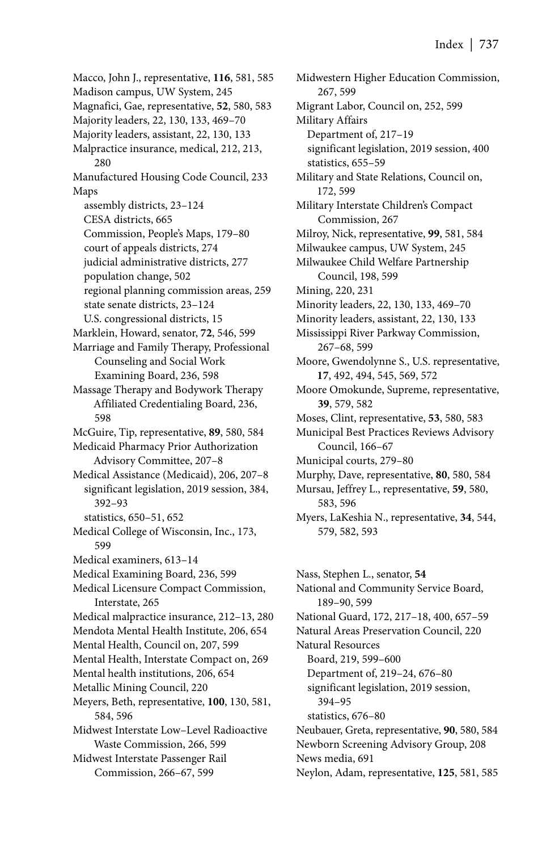Macco, John J., representative, **116**, 581, 585 Madison campus, UW System, 245 Magnafici, Gae, representative, **52**, 580, 583 Majority leaders, 22, 130, 133, 469–70 Majority leaders, assistant, 22, 130, 133 Malpractice insurance, medical, 212, 213, 280 Manufactured Housing Code Council, 233 Maps assembly districts, 23–124 CESA districts, 665 Commission, People's Maps, 179–80 court of appeals districts, 274 judicial administrative districts, 277 population change, 502 regional planning commission areas, 259 state senate districts, 23–124 U.S. congressional districts, 15 Marklein, Howard, senator, **72**, 546, 599 Marriage and Family Therapy, Professional Counseling and Social Work Examining Board, 236, 598 Massage Therapy and Bodywork Therapy Affiliated Credentialing Board, 236, 598 McGuire, Tip, representative, **89**, 580, 584 Medicaid Pharmacy Prior Authorization Advisory Committee, 207–8 Medical Assistance (Medicaid), 206, 207–8 significant legislation, 2019 session, 384, 392–93 statistics, 650–51, 652 Medical College of Wisconsin, Inc., 173, 599 Medical examiners, 613–14 Medical Examining Board, 236, 599 Medical Licensure Compact Commission, Interstate, 265 Medical malpractice insurance, 212–13, 280 Mendota Mental Health Institute, 206, 654 Mental Health, Council on, 207, 599 Mental Health, Interstate Compact on, 269 Mental health institutions, 206, 654 Metallic Mining Council, 220 Meyers, Beth, representative, **100**, 130, 581, 584, 596 Midwest Interstate Low–Level Radioactive Waste Commission, 266, 599 Midwest Interstate Passenger Rail Commission, 266–67, 599

Midwestern Higher Education Commission, 267, 599 Migrant Labor, Council on, 252, 599 Military Affairs Department of, 217–19 significant legislation, 2019 session, 400 statistics, 655–59 Military and State Relations, Council on, 172, 599 Military Interstate Children's Compact Commission, 267 Milroy, Nick, representative, **99**, 581, 584 Milwaukee campus, UW System, 245 Milwaukee Child Welfare Partnership Council, 198, 599 Mining, 220, 231 Minority leaders, 22, 130, 133, 469–70 Minority leaders, assistant, 22, 130, 133 Mississippi River Parkway Commission, 267–68, 599 Moore, Gwendolynne S., U.S. representative, **17**, 492, 494, 545, 569, 572 Moore Omokunde, Supreme, representative, **39**, 579, 582 Moses, Clint, representative, **53**, 580, 583 Municipal Best Practices Reviews Advisory Council, 166–67 Municipal courts, 279–80 Murphy, Dave, representative, **80**, 580, 584 Mursau, Jeffrey L., representative, **59**, 580, 583, 596 Myers, LaKeshia N., representative, **34**, 544, 579, 582, 593

Nass, Stephen L., senator, **54** National and Community Service Board, 189–90, 599 National Guard, 172, 217–18, 400, 657–59 Natural Areas Preservation Council, 220 Natural Resources Board, 219, 599–600 Department of, 219–24, 676–80 significant legislation, 2019 session, 394–95 statistics, 676–80 Neubauer, Greta, representative, **90**, 580, 584 Newborn Screening Advisory Group, 208 News media, 691 Neylon, Adam, representative, **125**, 581, 585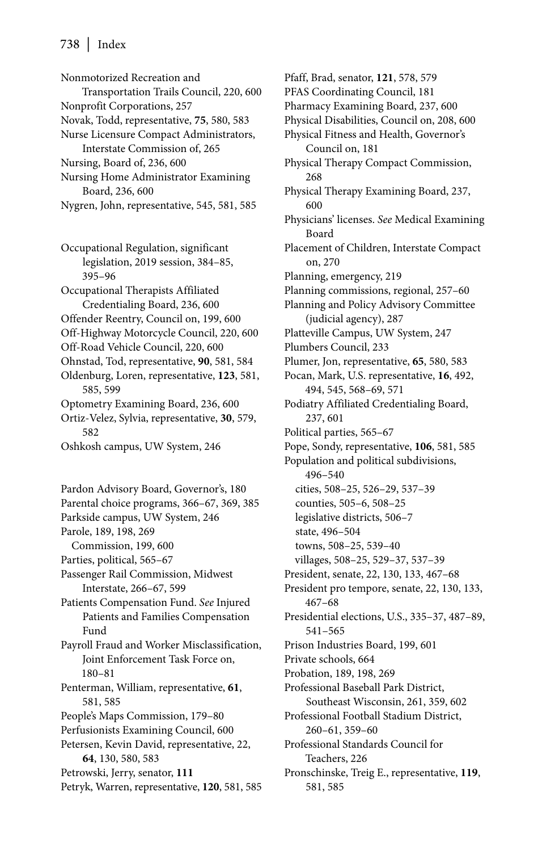## 738 | Index

Nonmotorized Recreation and Transportation Trails Council, 220, 600 Nonprofit Corporations, 257 Novak, Todd, representative, **75**, 580, 583 Nurse Licensure Compact Administrators, Interstate Commission of, 265 Nursing, Board of, 236, 600 Nursing Home Administrator Examining Board, 236, 600 Nygren, John, representative, 545, 581, 585 Occupational Regulation, significant legislation, 2019 session, 384–85, 395–96 Occupational Therapists Affiliated Credentialing Board, 236, 600 Offender Reentry, Council on, 199, 600 Off-Highway Motorcycle Council, 220, 600 Off-Road Vehicle Council, 220, 600 Ohnstad, Tod, representative, **90**, 581, 584 Oldenburg, Loren, representative, **123**, 581, 585, 599 Optometry Examining Board, 236, 600 Ortiz-Velez, Sylvia, representative, **30**, 579, 582 Oshkosh campus, UW System, 246

Pardon Advisory Board, Governor's, 180 Parental choice programs, 366–67, 369, 385 Parkside campus, UW System, 246 Parole, 189, 198, 269 Commission, 199, 600 Parties, political, 565–67 Passenger Rail Commission, Midwest Interstate, 266–67, 599 Patients Compensation Fund. *See* Injured Patients and Families Compensation Fund Payroll Fraud and Worker Misclassification, Joint Enforcement Task Force on, 180–81 Penterman, William, representative, **61**, 581, 585 People's Maps Commission, 179–80 Perfusionists Examining Council, 600 Petersen, Kevin David, representative, 22, **64**, 130, 580, 583 Petrowski, Jerry, senator, **111** Petryk, Warren, representative, **120**, 581, 585 Pfaff, Brad, senator, **121**, 578, 579 PFAS Coordinating Council, 181 Pharmacy Examining Board, 237, 600 Physical Disabilities, Council on, 208, 600 Physical Fitness and Health, Governor's Council on, 181 Physical Therapy Compact Commission, 268 Physical Therapy Examining Board, 237, 600 Physicians' licenses. *See* Medical Examining Board Placement of Children, Interstate Compact on, 270 Planning, emergency, 219 Planning commissions, regional, 257–60 Planning and Policy Advisory Committee (judicial agency), 287 Platteville Campus, UW System, 247 Plumbers Council, 233 Plumer, Jon, representative, **65**, 580, 583 Pocan, Mark, U.S. representative, **16**, 492, 494, 545, 568–69, 571 Podiatry Affiliated Credentialing Board, 237, 601 Political parties, 565–67 Pope, Sondy, representative, **106**, 581, 585 Population and political subdivisions, 496–540 cities, 508–25, 526–29, 537–39 counties, 505–6, 508–25 legislative districts, 506–7 state, 496–504 towns, 508–25, 539–40 villages, 508–25, 529–37, 537–39 President, senate, 22, 130, 133, 467–68 President pro tempore, senate, 22, 130, 133, 467–68 Presidential elections, U.S., 335–37, 487–89, 541–565 Prison Industries Board, 199, 601 Private schools, 664 Probation, 189, 198, 269 Professional Baseball Park District, Southeast Wisconsin, 261, 359, 602 Professional Football Stadium District, 260–61, 359–60 Professional Standards Council for Teachers, 226 Pronschinske, Treig E., representative, **119**, 581, 585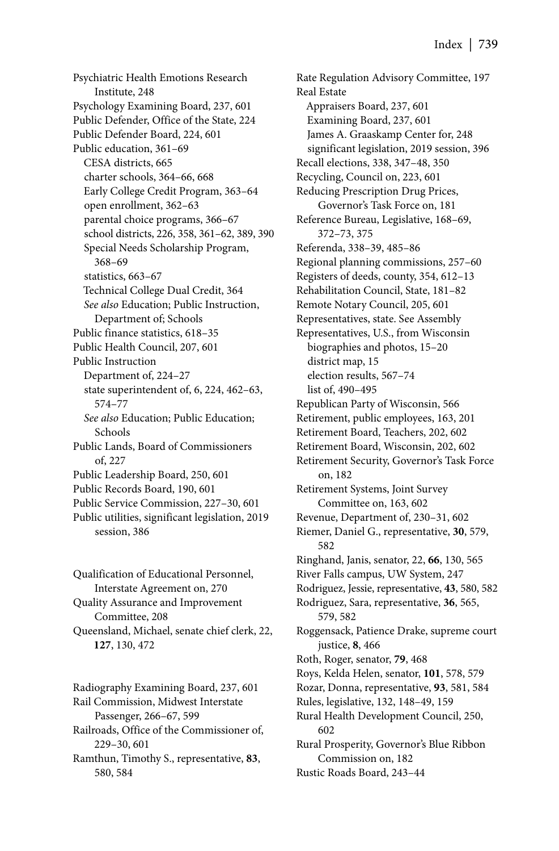Psychiatric Health Emotions Research Institute, 248 Psychology Examining Board, 237, 601 Public Defender, Office of the State, 224 Public Defender Board, 224, 601 Public education, 361–69 CESA districts, 665 charter schools, 364–66, 668 Early College Credit Program, 363–64 open enrollment, 362–63 parental choice programs, 366–67 school districts, 226, 358, 361–62, 389, 390 Special Needs Scholarship Program, 368–69 statistics, 663–67 Technical College Dual Credit, 364 *See also* Education; Public Instruction, Department of; Schools Public finance statistics, 618–35 Public Health Council, 207, 601 Public Instruction Department of, 224–27 state superintendent of, 6, 224, 462–63, 574–77 *See also* Education; Public Education; Schools Public Lands, Board of Commissioners of, 227 Public Leadership Board, 250, 601 Public Records Board, 190, 601 Public Service Commission, 227–30, 601 Public utilities, significant legislation, 2019 session, 386

Qualification of Educational Personnel, Interstate Agreement on, 270 Quality Assurance and Improvement Committee, 208 Queensland, Michael, senate chief clerk, 22, **127**, 130, 472

Radiography Examining Board, 237, 601 Rail Commission, Midwest Interstate Passenger, 266–67, 599 Railroads, Office of the Commissioner of, 229–30, 601

Ramthun, Timothy S., representative, **83**, 580, 584

Rate Regulation Advisory Committee, 197 Real Estate Appraisers Board, 237, 601 Examining Board, 237, 601 James A. Graaskamp Center for, 248 significant legislation, 2019 session, 396 Recall elections, 338, 347–48, 350 Recycling, Council on, 223, 601 Reducing Prescription Drug Prices, Governor's Task Force on, 181 Reference Bureau, Legislative, 168–69, 372–73, 375 Referenda, 338–39, 485–86 Regional planning commissions, 257–60 Registers of deeds, county, 354, 612–13 Rehabilitation Council, State, 181–82 Remote Notary Council, 205, 601 Representatives, state. See Assembly Representatives, U.S., from Wisconsin biographies and photos, 15–20 district map, 15 election results, 567–74 list of, 490–495 Republican Party of Wisconsin, 566 Retirement, public employees, 163, 201 Retirement Board, Teachers, 202, 602 Retirement Board, Wisconsin, 202, 602 Retirement Security, Governor's Task Force on, 182 Retirement Systems, Joint Survey Committee on, 163, 602 Revenue, Department of, 230–31, 602 Riemer, Daniel G., representative, **30**, 579, 582 Ringhand, Janis, senator, 22, **66**, 130, 565 River Falls campus, UW System, 247 Rodriguez, Jessie, representative, **43**, 580, 582 Rodriguez, Sara, representative, **36**, 565, 579, 582 Roggensack, Patience Drake, supreme court justice, **8**, 466 Roth, Roger, senator, **79**, 468 Roys, Kelda Helen, senator, **101**, 578, 579 Rozar, Donna, representative, **93**, 581, 584 Rules, legislative, 132, 148–49, 159 Rural Health Development Council, 250, 602 Rural Prosperity, Governor's Blue Ribbon Commission on, 182 Rustic Roads Board, 243–44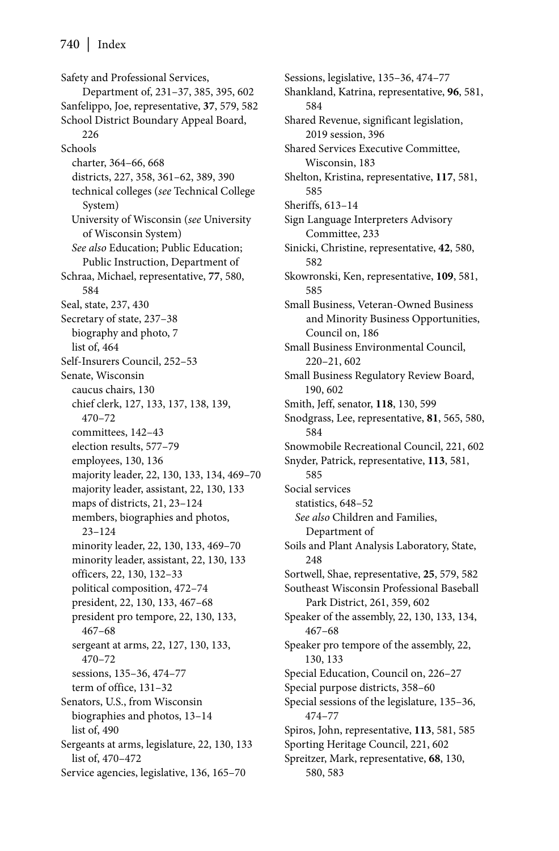Safety and Professional Services, Department of, 231–37, 385, 395, 602 Sanfelippo, Joe, representative, **37**, 579, 582 School District Boundary Appeal Board, 226 Schools charter, 364–66, 668 districts, 227, 358, 361–62, 389, 390 technical colleges (*see* Technical College System) University of Wisconsin (*see* University of Wisconsin System) *See also* Education; Public Education; Public Instruction, Department of Schraa, Michael, representative, **77**, 580, 584 Seal, state, 237, 430 Secretary of state, 237–38 biography and photo, 7 list of, 464 Self-Insurers Council, 252–53 Senate, Wisconsin caucus chairs, 130 chief clerk, 127, 133, 137, 138, 139, 470–72 committees, 142–43 election results, 577–79 employees, 130, 136 majority leader, 22, 130, 133, 134, 469–70 majority leader, assistant, 22, 130, 133 maps of districts, 21, 23–124 members, biographies and photos, 23–124 minority leader, 22, 130, 133, 469–70 minority leader, assistant, 22, 130, 133 officers, 22, 130, 132–33 political composition, 472–74 president, 22, 130, 133, 467–68 president pro tempore, 22, 130, 133, 467–68 sergeant at arms, 22, 127, 130, 133, 470–72 sessions, 135–36, 474–77 term of office, 131–32 Senators, U.S., from Wisconsin biographies and photos, 13–14 list of, 490 Sergeants at arms, legislature, 22, 130, 133 list of, 470–472 Service agencies, legislative, 136, 165–70

Sessions, legislative, 135–36, 474–77 Shankland, Katrina, representative, **96**, 581, 584 Shared Revenue, significant legislation, 2019 session, 396 Shared Services Executive Committee, Wisconsin, 183 Shelton, Kristina, representative, **117**, 581, 585 Sheriffs, 613–14 Sign Language Interpreters Advisory Committee, 233 Sinicki, Christine, representative, **42**, 580, 582 Skowronski, Ken, representative, **109**, 581, 585 Small Business, Veteran-Owned Business and Minority Business Opportunities, Council on, 186 Small Business Environmental Council, 220–21, 602 Small Business Regulatory Review Board, 190, 602 Smith, Jeff, senator, **118**, 130, 599 Snodgrass, Lee, representative, **81**, 565, 580, 584 Snowmobile Recreational Council, 221, 602 Snyder, Patrick, representative, **113**, 581, 585 Social services statistics, 648–52 *See also* Children and Families, Department of Soils and Plant Analysis Laboratory, State, 248 Sortwell, Shae, representative, **25**, 579, 582 Southeast Wisconsin Professional Baseball Park District, 261, 359, 602 Speaker of the assembly, 22, 130, 133, 134, 467–68 Speaker pro tempore of the assembly, 22, 130, 133 Special Education, Council on, 226–27 Special purpose districts, 358–60 Special sessions of the legislature, 135–36, 474–77 Spiros, John, representative, **113**, 581, 585 Sporting Heritage Council, 221, 602 Spreitzer, Mark, representative, **68**, 130, 580, 583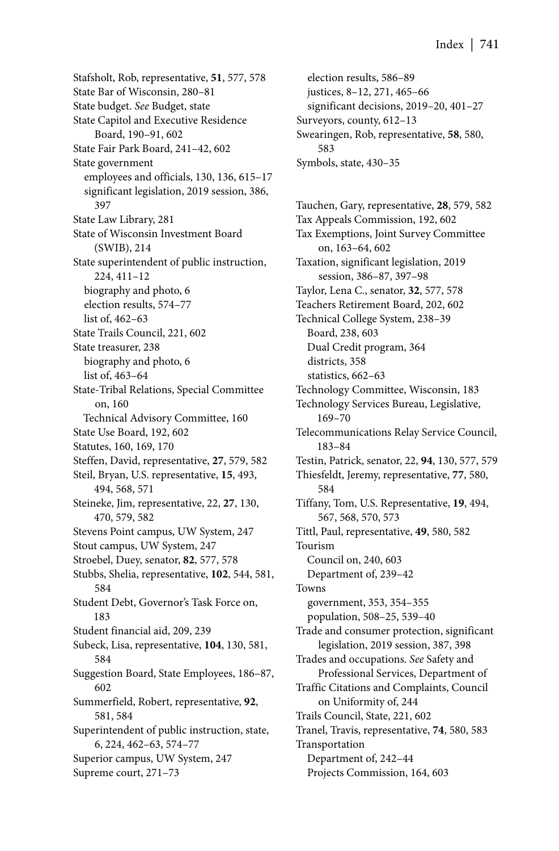Stafsholt, Rob, representative, **51**, 577, 578 State Bar of Wisconsin, 280–81 State budget. *See* Budget, state State Capitol and Executive Residence Board, 190–91, 602 State Fair Park Board, 241–42, 602 State government employees and officials, 130, 136, 615–17 significant legislation, 2019 session, 386, 397 State Law Library, 281 State of Wisconsin Investment Board (SWIB), 214 State superintendent of public instruction, 224, 411–12 biography and photo, 6 election results, 574–77 list of, 462–63 State Trails Council, 221, 602 State treasurer, 238 biography and photo, 6 list of, 463–64 State-Tribal Relations, Special Committee on, 160 Technical Advisory Committee, 160 State Use Board, 192, 602 Statutes, 160, 169, 170 Steffen, David, representative, **27**, 579, 582 Steil, Bryan, U.S. representative, **15**, 493, 494, 568, 571 Steineke, Jim, representative, 22, **27**, 130, 470, 579, 582 Stevens Point campus, UW System, 247 Stout campus, UW System, 247 Stroebel, Duey, senator, **82**, 577, 578 Stubbs, Shelia, representative, **102**, 544, 581, 584 Student Debt, Governor's Task Force on, 183 Student financial aid, 209, 239 Subeck, Lisa, representative, **104**, 130, 581, 584 Suggestion Board, State Employees, 186–87, 602 Summerfield, Robert, representative, **92**, 581, 584 Superintendent of public instruction, state, 6, 224, 462–63, 574–77 Superior campus, UW System, 247 Supreme court, 271–73

election results, 586–89 justices, 8–12, 271, 465–66 significant decisions, 2019–20, 401–27 Surveyors, county, 612–13 Swearingen, Rob, representative, **58**, 580, 583 Symbols, state, 430–35

Tauchen, Gary, representative, **28**, 579, 582 Tax Appeals Commission, 192, 602 Tax Exemptions, Joint Survey Committee on, 163–64, 602 Taxation, significant legislation, 2019 session, 386–87, 397–98 Taylor, Lena C., senator, **32**, 577, 578 Teachers Retirement Board, 202, 602 Technical College System, 238–39 Board, 238, 603 Dual Credit program, 364 districts, 358 statistics, 662–63 Technology Committee, Wisconsin, 183 Technology Services Bureau, Legislative, 169–70 Telecommunications Relay Service Council, 183–84 Testin, Patrick, senator, 22, **94**, 130, 577, 579 Thiesfeldt, Jeremy, representative, **77**, 580, 584 Tiffany, Tom, U.S. Representative, **19**, 494, 567, 568, 570, 573 Tittl, Paul, representative, **49**, 580, 582 Tourism Council on, 240, 603 Department of, 239–42 Towns government, 353, 354–355 population, 508–25, 539–40 Trade and consumer protection, significant legislation, 2019 session, 387, 398 Trades and occupations. *See* Safety and Professional Services, Department of Traffic Citations and Complaints, Council on Uniformity of, 244 Trails Council, State, 221, 602 Tranel, Travis, representative, **74**, 580, 583 Transportation Department of, 242–44 Projects Commission, 164, 603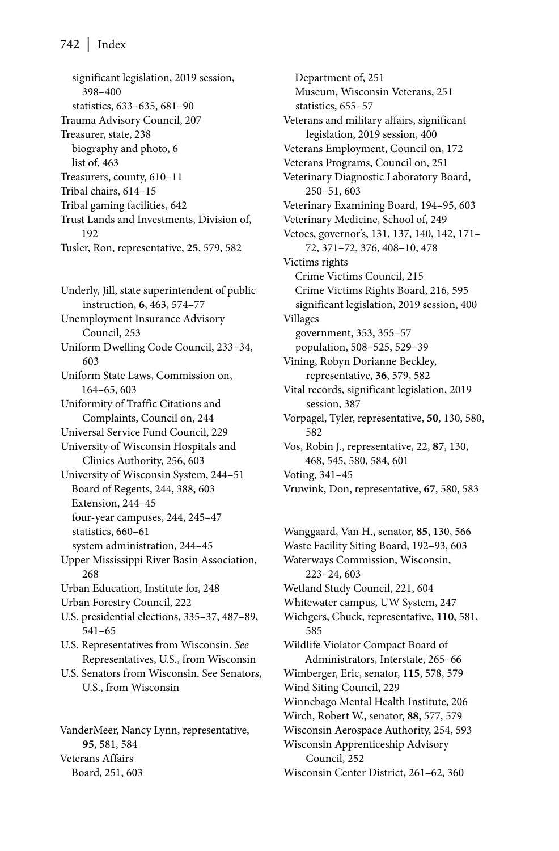significant legislation, 2019 session, 398–400 statistics, 633–635, 681–90 Trauma Advisory Council, 207 Treasurer, state, 238 biography and photo, 6 list of, 463 Treasurers, county, 610–11 Tribal chairs, 614–15 Tribal gaming facilities, 642 Trust Lands and Investments, Division of, 192 Tusler, Ron, representative, **25**, 579, 582

Underly, Jill, state superintendent of public instruction, **6**, 463, 574–77 Unemployment Insurance Advisory Council, 253 Uniform Dwelling Code Council, 233–34, 603 Uniform State Laws, Commission on, 164–65, 603 Uniformity of Traffic Citations and Complaints, Council on, 244 Universal Service Fund Council, 229 University of Wisconsin Hospitals and Clinics Authority, 256, 603 University of Wisconsin System, 244–51 Board of Regents, 244, 388, 603 Extension, 244–45 four-year campuses, 244, 245–47 statistics, 660–61 system administration, 244–45 Upper Mississippi River Basin Association, 268 Urban Education, Institute for, 248 Urban Forestry Council, 222 U.S. presidential elections, 335–37, 487–89, 541–65 U.S. Representatives from Wisconsin. *See* Representatives, U.S., from Wisconsin U.S. Senators from Wisconsin. See Senators, U.S., from Wisconsin

VanderMeer, Nancy Lynn, representative, **95**, 581, 584 Veterans Affairs Board, 251, 603

Department of, 251 Museum, Wisconsin Veterans, 251 statistics, 655–57 Veterans and military affairs, significant legislation, 2019 session, 400 Veterans Employment, Council on, 172 Veterans Programs, Council on, 251 Veterinary Diagnostic Laboratory Board, 250–51, 603 Veterinary Examining Board, 194–95, 603 Veterinary Medicine, School of, 249 Vetoes, governor's, 131, 137, 140, 142, 171– 72, 371–72, 376, 408–10, 478 Victims rights Crime Victims Council, 215 Crime Victims Rights Board, 216, 595 significant legislation, 2019 session, 400 Villages government, 353, 355–57 population, 508–525, 529–39 Vining, Robyn Dorianne Beckley, representative, **36**, 579, 582 Vital records, significant legislation, 2019 session, 387 Vorpagel, Tyler, representative, **50**, 130, 580, 582 Vos, Robin J., representative, 22, **87**, 130, 468, 545, 580, 584, 601 Voting, 341–45 Vruwink, Don, representative, **67**, 580, 583

Wanggaard, Van H., senator, **85**, 130, 566 Waste Facility Siting Board, 192–93, 603 Waterways Commission, Wisconsin, 223–24, 603 Wetland Study Council, 221, 604 Whitewater campus, UW System, 247 Wichgers, Chuck, representative, **110**, 581, 585 Wildlife Violator Compact Board of Administrators, Interstate, 265–66 Wimberger, Eric, senator, **115**, 578, 579 Wind Siting Council, 229 Winnebago Mental Health Institute, 206 Wirch, Robert W., senator, **88**, 577, 579 Wisconsin Aerospace Authority, 254, 593 Wisconsin Apprenticeship Advisory Council, 252 Wisconsin Center District, 261–62, 360